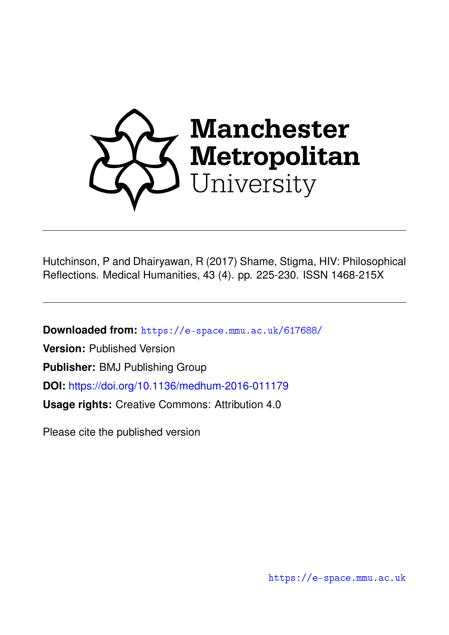

Hutchinson, P and Dhairyawan, R (2017) Shame, Stigma, HIV: Philosophical Reflections. Medical Humanities, 43 (4). pp. 225-230. ISSN 1468-215X

**Downloaded from:** <https://e-space.mmu.ac.uk/617688/>

**Version:** Published Version

**Publisher:** BMJ Publishing Group

**DOI:** <https://doi.org/10.1136/medhum-2016-011179>

**Usage rights:** Creative Commons: Attribution 4.0

Please cite the published version

<https://e-space.mmu.ac.uk>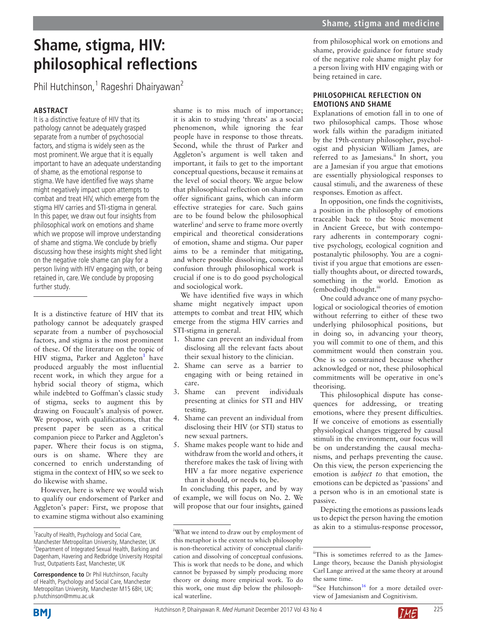# **Shame, stigma, HIV: philosophical reflections**

Phil Hutchinson,<sup>1</sup> Rageshri Dhairyawan<sup>2</sup>

## **Abstract**

It is a distinctive feature of HIV that its pathology cannot be adequately grasped separate from a number of psychosocial factors, and stigma is widely seen as the most prominent. We argue that it is equally important to have an adequate understanding of shame, as the emotional response to stigma. We have identified five ways shame might negatively impact upon attempts to combat and treat HIV, which emerge from the stigma HIV carries and STI-stigma in general. In this paper, we draw out four insights from philosophical work on emotions and shame which we propose will improve understanding of shame and stigma. We conclude by briefly discussing how these insights might shed light on the negative role shame can play for a person living with HIV engaging with, or being retained in, care. We conclude by proposing further study.

It is a distinctive feature of HIV that its pathology cannot be adequately grasped separate from a number of psychosocial factors, and stigma is the most prominent of these. Of the literature on the topic of HIV stigma, Parker and Aggleton<sup>[1](#page-5-0)</sup> have produced arguably the most influential recent work, in which they argue for a hybrid social theory of stigma, which while indebted to Goffman's classic study of stigma, seeks to augment this by drawing on Foucault's analysis of power. We propose, with qualifications, that the present paper be seen as a critical companion piece to Parker and Aggleton's paper. Where their focus is on stigma, ours is on shame. Where they are concerned to enrich understanding of stigma in the context of HIV, so we seek to do likewise with shame.

However, here is where we would wish to qualify our endorsement of Parker and Aggleton's paper: First, we propose that to examine stigma without also examining

shame is to miss much of importance; it is akin to studying 'threats' as a social phenomenon, while ignoring the fear people have in response to those threats. Second, while the thrust of Parker and Aggleton's argument is well taken and important, it fails to get to the important conceptual questions, because it remains at the level of social theory. We argue below that philosophical reflection on shame can offer significant gains, which can inform effective strategies for care. Such gains are to be found below the philosophical waterline<sup>i</sup> and serve to frame more overtly empirical and theoretical considerations of emotion, shame and stigma. Our paper aims to be a reminder that mitigating, and where possible dissolving, conceptual confusion through philosophical work is crucial if one is to do good psychological and sociological work.

We have identified five ways in which shame might negatively impact upon attempts to combat and treat HIV, which emerge from the stigma HIV carries and STI-stigma in general.

- 1. Shame can prevent an individual from disclosing all the relevant facts about their sexual history to the clinician.
- 2. Shame can serve as a barrier to engaging with or being retained in care.
- 3. Shame can prevent individuals presenting at clinics for STI and HIV testing.
- 4. Shame can prevent an individual from disclosing their HIV (or STI) status to new sexual partners.
- 5. Shame makes people want to hide and withdraw from the world and others, it therefore makes the task of living with HIV a far more negative experience than it should, or needs to, be.

In concluding this paper, and by way of example, we will focus on No. 2. We will propose that our four insights, gained from philosophical work on emotions and shame, provide guidance for future study of the negative role shame might play for a person living with HIV engaging with or being retained in care.

### **Philosophical Reflection on Emotions and Shame**

Explanations of emotion fall in to one of two philosophical camps. Those whose work falls within the paradigm initiated by the 19th-century philosopher, psychologist and physician William James, are referred to as Jamesians.<sup>ii</sup> In short, you are a Jamesian if you argue that emotions are essentially physiological responses to causal stimuli, and the awareness of these responses. Emotion as affect.

In opposition, one finds the cognitivists, a position in the philosophy of emotions traceable back to the Stoic movement in Ancient Greece, but with contemporary adherents in contemporary cognitive psychology, ecological cognition and postanalytic philosophy. You are a cognitivist if you argue that emotions are essentially thoughts about, or directed towards, something in the world. Emotion as (embodied) thought.<sup>iii</sup>

One could advance one of many psychological or sociological theories of emotion without referring to either of these two underlying philosophical positions, but in doing so, in advancing your theory, you will commit to one of them, and this commitment would then constrain you. One is so constrained because whether acknowledged or not, these philosophical commitments will be operative in one's theorising.

This philosophical dispute has consequences for addressing, or treating emotions, where they present difficulties. If we conceive of emotions as essentially physiological changes triggered by causal stimuli in the environment, our focus will be on understanding the causal mechanisms, and perhaps preventing the cause. On this view, the person experiencing the emotion is *subject to* that emotion, the emotions can be depicted as 'passions' and a person who is in an emotional state is passive.

Depicting the emotions as passions leads us to depict the person having the emotion as akin to a stimulus-response processor,





<sup>&</sup>lt;sup>1</sup> Faculty of Health, Psychology and Social Care, Manchester Metropolitan University, Manchester, UK <sup>2</sup> Department of Integrated Sexual Health, Barking and Dagenham, Havering and Redbridge University Hospital Trust, Outpatients East, Manchester, UK

**Correspondence to** Dr Phil Hutchinson, Faculty of Health, Psychology and Social Care, Manchester Metropolitan University, Manchester M15 6BH, UK; p.hutchinson@mmu.ac.uk

i What we intend to draw out by employment of this metaphor is the extent to which philosophy is non-theoretical activity of conceptual clarification and dissolving of conceptual confusions. This is work that needs to be done, and which cannot be bypassed by simply producing more theory or doing more empirical work. To do this work, one must dip below the philosophical waterline.

iiThis is sometimes referred to as the James-Lange theory, because the Danish physiologist Carl Lange arrived at the same theory at around the same time.

iiiSee Hutchinson<sup>16</sup> for a more detailed overview of Jamesianism and Cognitivism.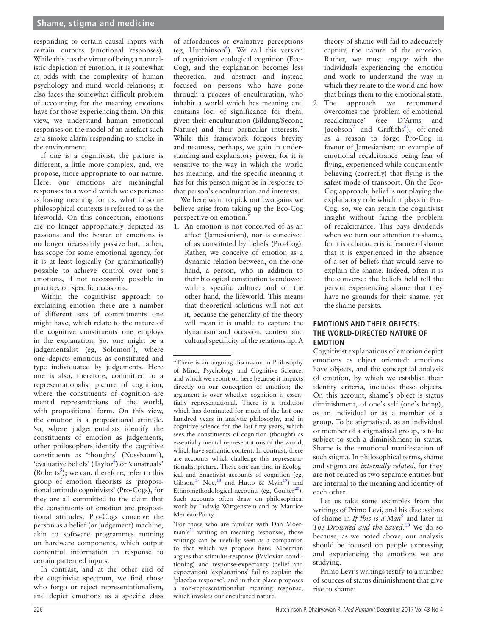responding to certain causal inputs with certain outputs (emotional responses). While this has the virtue of being a naturalistic depiction of emotion, it is somewhat at odds with the complexity of human psychology and mind–world relations; it also faces the somewhat difficult problem of accounting for the meaning emotions have for those experiencing them. On this view, we understand human emotional responses on the model of an artefact such as a smoke alarm responding to smoke in the environment.

If one is a cognitivist, the picture is different, a little more complex, and, we propose, more appropriate to our nature. Here, our emotions are meaningful responses to a world which we experience as having meaning for us, what in some philosophical contexts is referred to as the lifeworld. On this conception, emotions are no longer appropriately depicted as passions and the bearer of emotions is no longer necessarily passive but, rather, has scope for some emotional agency, for it is at least logically (or grammatically) possible to achieve control over one's emotions, if not necessarily possible in practice, on specific occasions.

Within the cognitivist approach to explaining emotion there are a number of different sets of commitments one might have, which relate to the nature of the cognitive constituents one employs in the explanation. So, one might be a judgementalist (eg, Solomon<sup>[2](#page-5-1)</sup>), where one depicts emotions as constituted and type individuated by judgements. Here one is also, therefore, committed to a representationalist picture of cognition, where the constituents of cognition are mental representations of the world, with propositional form. On this view, the emotion is a propositional attitude. So, where judgementalists identify the constituents of emotion as judgements, other philosophers identify the cognitive constituents as 'thoughts' (Nussbaum<sup>3</sup>), 'evaluative beliefs' (Taylor<sup>4</sup>) or 'construals' (Roberts<sup>[5](#page-5-4)</sup>); we can, therefore, refer to this group of emotion theorists as 'propositional attitude cognitivists' (Pro-Cogs), for they are all committed to the claim that the constituents of emotion are propositional attitudes. Pro-Cogs conceive the person as a belief (or judgement) machine, akin to software programmes running on hardware components, which output contentful information in response to certain patterned inputs.

In contrast, and at the other end of the cognitivist spectrum, we find those who forgo or reject representationalism, and depict emotions as a specific class

of affordances or evaluative perceptions (eg, Hutchinson<sup>[6](#page-5-5)</sup>). We call this version of cognitivism ecological cognition (Eco-Cog), and the explanation becomes less theoretical and abstract and instead focused on persons who have gone through a process of enculturation, who inhabit a world which has meaning and contains loci of significance for them, given their enculturation (Bildung/Second Nature) and their particular interests.<sup>iv</sup> While this framework forgoes brevity and neatness, perhaps, we gain in understanding and explanatory power, for it is sensitive to the way in which the world has meaning, and the specific meaning it has for this person might be in response to that person's enculturation and interests.

We here want to pick out two gains we believe arise from taking up the Eco-Cog perspective on emotion.

1. An emotion is not conceived of as an affect (Jamesianism), nor is conceived of as constituted by beliefs (Pro-Cog). Rather, we conceive of emotion as a dynamic relation between, on the one hand, a person, who in addition to their biological constitution is endowed with a specific culture, and on the other hand, the lifeworld. This means that theoretical solutions will not cut it, because the generality of the theory will mean it is unable to capture the dynamism and occasion, context and cultural specificity of the relationship. A theory of shame will fail to adequately capture the nature of the emotion. Rather, we must engage with the individuals experiencing the emotion and work to understand the way in which they relate to the world and how that brings them to the emotional state.

2. The approach we recommend overcomes the 'problem of emotional recalcitrance' (see D'Arms and Jacobson<sup>[7](#page-5-6)</sup> and Griffiths<sup>[8](#page-6-0)</sup>), oft-cited as a reason to forgo Pro-Cog in favour of Jamesianism: an example of emotional recalcitrance being fear of flying, experienced while concurrently believing (correctly) that flying is the safest mode of transport. On the Eco-Cog approach, belief is not playing the explanatory role which it plays in Pro-Cog, so, we can retain the cognitivist insight without facing the problem of recalcitrance. This pays dividends when we turn our attention to shame, for it is a characteristic feature of shame that it is experienced in the absence of a set of beliefs that would serve to explain the shame. Indeed, often it is the converse: the beliefs held tell the person experiencing shame that they have no grounds for their shame, yet the shame persists.

## **Emotions and Their Objects: The World-Directed Nature of Emotion**

Cognitivist explanations of emotion depict emotions as object oriented: emotions have objects, and the conceptual analysis of emotion, by which we establish their identity criteria, includes these objects. On this account, shame's object is status diminishment, of one's self (one's being), as an individual or as a member of a group. To be stigmatised, as an individual or member of a stigmatised group, is to be subject to such a diminishment in status. Shame is the emotional manifestation of such stigma. In philosophical terms, shame and stigma are *internally related*, for they are not related as two separate entities but are internal to the meaning and identity of each other.

Let us take some examples from the writings of Primo Levi, and his discussions of shame in *If this is a Man*[9](#page-6-1) and later in *The Drowned and the Saved*. [10](#page-6-2) We do so because, as we noted above, our analysis should be focused on people expressing and experiencing the emotions we are studying.

Primo Levi's writings testify to a number of sources of status diminishment that give rise to shame:

ivThere is an ongoing discussion in Philosophy of Mind, Psychology and Cognitive Science, and which we report on here because it impacts directly on our conception of emotion; the argument is over whether cognition is essentially representational. There is a tradition which has dominated for much of the last one hundred years in analytic philosophy, and in cognitive science for the last fifty years, which sees the constituents of cognition (thought) as essentially mental representations of the world, which have semantic content. In contrast, there are accounts which challenge this representationalist picture. These one can find in Ecological and Enactivist accounts of cognition (eg, Gibson, $17 \text{ Noe}, 18$  and Hutto & Myin<sup>19</sup>) and Ethnomethodological accounts (eg, Coulter $^{20}$ ). Such accounts often draw on philosophical work by Ludwig Wittgenstein and by Maurice Merleau-Ponty.

v For those who are familiar with Dan Moerman's<sup>21</sup> writing on meaning responses, those writings can be usefully seen as a companion to that which we propose here. Moerman argues that stimulus-response (Pavlovian conditioning) and response-expectancy (belief and expectation) 'explanations' fail to explain the 'placebo response', and in their place proposes a non-representationalist meaning response, which invokes our encultured nature.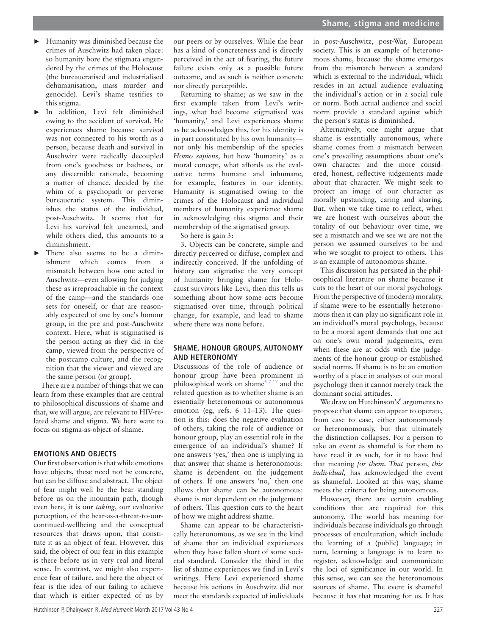- ► Humanity was diminished because the crimes of Auschwitz had taken place: so humanity bore the stigmata engendered by the crimes of the Holocaust (the bureaucratised and industrialised dehumanisation, mass murder and genocide). Levi's shame testifies to this stigma.
- In addition, Levi felt diminished owing to the accident of survival. He experiences shame because survival was not connected to his worth as a person, because death and survival in Auschwitz were radically decoupled from one's goodness or badness, or any discernible rationale, becoming a matter of chance, decided by the whim of a psychopath or perverse bureaucratic system. This diminishes the status of the individual, post-Auschwitz. It seems that for Levi his survival felt unearned, and while others died, this amounts to a diminishment.
- There also seems to be a diminishment which comes from a mismatch between how one acted in Auschwitz—even allowing for judging these as irreproachable in the context of the camp—and the standards one sets for oneself, or that are reasonably expected of one by one's honour group, in the pre and post-Auschwitz context. Here, what is stigmatised is the person acting as they did in the camp, viewed from the perspective of the postcamp culture, and the recognition that the viewer and viewed are the same person (or group).

There are a number of things that we can learn from these examples that are central to philosophical discussions of shame and that, we will argue, are relevant to HIV-related shame and stigma. We here want to focus on stigma-as-object-of-shame.

## **Emotions and Objects**

Our first observation is that while emotions have objects, these need not be concrete, but can be diffuse and abstract. The object of fear might well be the bear standing before us on the mountain path, though even here, it is our *taking*, our evaluative perception, of the bear-as-a-threat-to-ourcontinued-wellbeing and the conceptual resources that draws upon, that constitute it as an object of fear. However, this said, the object of our fear in this example is there before us in very real and literal sense. In contrast, we might also experience fear of failure, and here the object of fear is the idea of our failing to achieve that which is either expected of us by

our peers or by ourselves. While the bear has a kind of concreteness and is directly perceived in the act of fearing, the future failure exists only as a possible future outcome, and as such is neither concrete nor directly perceptible.

Returning to shame; as we saw in the first example taken from Levi's writings, what had become stigmatised was 'humanity,' and Levi experiences shame as he acknowledges this, for his identity is in part constituted by his own humanity not only his membership of the species *Homo sapiens*, but how 'humanity' as a moral concept, what affords us the evaluative terms humane and inhumane, for example, features in our identity. Humanity is stigmatised owing to the crimes of the Holocaust and individual members of humanity experience shame in acknowledging this stigma and their membership of the stigmatised group.

So here is gain 3:

3. Objects can be concrete, simple and directly perceived or diffuse, complex and indirectly conceived. If the unfolding of history can stigmatise the very concept of humanity bringing shame for Holocaust survivors like Levi, then this tells us something about how some acts become stigmatised over time, through political change, for example, and lead to shame where there was none before.

### **Shame, Honour Groups, Autonomy and Heteronomy**

Discussions of the role of audience or honour group have been prominent in philosophical work on shame<sup>5717</sup> and the related question as to whether shame is an essentially heteronomous or autonomous emotion (eg, refs. [6 11–13](#page-5-5)). The question is this: does the negative evaluation of others, taking the role of audience or honour group, play an essential role in the emergence of an individual's shame? If one answers 'yes,' then one is implying in that answer that shame is heteronomous: shame is dependent on the judgement of others. If one answers 'no,' then one allows that shame can be autonomous: shame is not dependent on the judgement of others. This question cuts to the heart of how we might address shame.

Shame can appear to be characteristically heteronomous, as we see in the kind of shame that an individual experiences when they have fallen short of some societal standard. Consider the third in the list of shame experiences we find in Levi's writings. Here Levi experienced shame because his actions in Auschwitz did not meet the standards expected of individuals in post-Auschwitz, post-War, European society. This is an example of heteronomous shame, because the shame emerges from the mismatch between a standard which is external to the individual, which resides in an actual audience evaluating the individual's action or in a social rule or norm. Both actual audience and social norm provide a standard against which the person's status is diminished.

Alternatively, one might argue that shame is essentially autonomous, where shame comes from a mismatch between one's prevailing assumptions about one's own character and the more considered, honest, reflective judgements made about that character. We might seek to project an image of our character as morally upstanding, caring and sharing. But, when we take time to reflect, when we are honest with ourselves about the totality of our behaviour over time, we see a mismatch and we see we are not the person we assumed ourselves to be and who we sought to project to others. This is an example of autonomous shame.

This discussion has persisted in the philosophical literature on shame because it cuts to the heart of our moral psychology. From the perspective of (modern) morality, if shame were to be essentially heteronomous then it can play no significant role in an individual's moral psychology, because to be a moral agent demands that one act on one's own moral judgements, even when these are at odds with the judgements of the honour group or established social norms. If shame is to be an emotion worthy of a place in analyses of our moral psychology then it cannot merely track the dominant social attitudes.

We draw on Hutchinson's<sup>[6](#page-5-5)</sup> arguments to propose that shame can appear to operate, from case to case, either autonomously or heteronomously, but that ultimately the distinction collapses. For a person to take an event as shameful is for them to have read it as such, for it to have had that meaning *for them. That* person, *this individual,* has acknowledged the event as shameful. Looked at this way, shame meets the criteria for being autonomous.

However, there are certain enabling conditions that are required for this autonomy. The world has meaning for individuals because individuals go through processes of enculturation, which include the learning of a (public) language; in turn, learning a language is to learn to register, acknowledge and communicate the loci of significance in our world. In this sense, we can see the heteronomous sources of shame. The event is shameful because it has that meaning for us. It has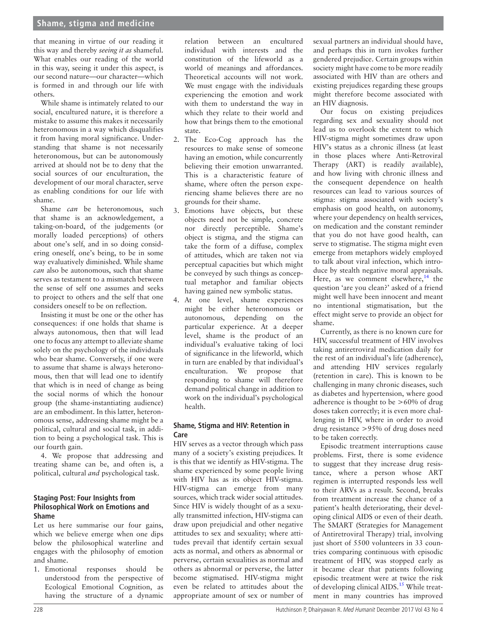that meaning in virtue of our reading it this way and thereby *seeing it as* shameful. What enables our reading of the world in this way, seeing it under this aspect, is our second nature—our character—which is formed in and through our life with others.

While shame is intimately related to our social, encultured nature, it is therefore a mistake to assume this makes it necessarily heteronomous in a way which disqualifies it from having moral significance. Understanding that shame is not necessarily heteronomous, but can be autonomously arrived at should not be to deny that the social sources of our enculturation, the development of our moral character, serve as enabling conditions for our life with shame.

Shame *can* be heteronomous, such that shame is an acknowledgement, a taking-on-board, of the judgements (or morally loaded perceptions) of others about one's self, and in so doing considering oneself, one's being, to be in some way evaluatively diminished. While shame *can* also be autonomous, such that shame serves as testament to a mismatch between the sense of self one assumes and seeks to project to others and the self that one considers oneself to be on reflection.

Insisting it must be one or the other has consequences: if one holds that shame is always autonomous, then that will lead one to focus any attempt to alleviate shame solely on the psychology of the individuals who bear shame. Conversely, if one were to assume that shame is always heteronomous, then that will lead one to identify that which is in need of change as being the social norms of which the honour group (the shame-instantiating audience) are an embodiment. In this latter, heteronomous sense, addressing shame might be a political, cultural and social task, in addition to being a psychological task. This is our fourth gain.

4. We propose that addressing and treating shame can be, and often is, a political, cultural *and* psychological task.

#### **Staging Post: Four Insights from Philosophical Work on Emotions and Shame**

Let us here summarise our four gains, which we believe emerge when one dips below the philosophical waterline and engages with the philosophy of emotion and shame.

1. Emotional responses should be understood from the perspective of Ecological Emotional Cognition, as having the structure of a dynamic relation between an encultured individual with interests and the constitution of the lifeworld as a world of meanings and affordances. Theoretical accounts will not work. We must engage with the individuals experiencing the emotion and work with them to understand the way in which they relate to their world and how that brings them to the emotional state.

- 2. The Eco-Cog approach has the resources to make sense of someone having an emotion, while concurrently believing their emotion unwarranted. This is a characteristic feature of shame, where often the person experiencing shame believes there are no grounds for their shame.
- 3. Emotions have objects, but these objects need not be simple, concrete nor directly perceptible. Shame's object is stigma, and the stigma can take the form of a diffuse, complex of attitudes, which are taken not via perceptual capacities but which might be conveyed by such things as conceptual metaphor and familiar objects having gained new symbolic status.
- 4. At one level, shame experiences might be either heteronomous or autonomous, depending on the particular experience. At a deeper level, shame is the product of an individual's evaluative taking of loci of significance in the lifeworld, which in turn are enabled by that individual's enculturation. We propose that responding to shame will therefore demand political change in addition to work on the individual's psychological health.

## **Shame, Stigma and HIV: Retention in Care**

HIV serves as a vector through which pass many of a society's existing prejudices. It is this that we identify as HIV-stigma. The shame experienced by some people living with HIV has as its object HIV-stigma. HIV-stigma can emerge from many sources, which track wider social attitudes. Since HIV is widely thought of as a sexually transmitted infection, HIV-stigma can draw upon prejudicial and other negative attitudes to sex and sexuality; where attitudes prevail that identify certain sexual acts as normal, and others as abnormal or perverse, certain sexualities as normal and others as abnormal or perverse, the latter become stigmatised. HIV-stigma might even be related to attitudes about the appropriate amount of sex or number of

sexual partners an individual should have, and perhaps this in turn invokes further gendered prejudice. Certain groups within society might have come to be more readily associated with HIV than are others and existing prejudices regarding these groups might therefore become associated with an HIV diagnosis.

Our focus on existing prejudices regarding sex and sexuality should not lead us to overlook the extent to which HIV-stigma might sometimes draw upon HIV's status as a chronic illness (at least in those places where Anti-Retroviral Therapy (ART) is readily available), and how living with chronic illness and the consequent dependence on health resources can lead to various sources of stigma: stigma associated with society's emphasis on good health, on autonomy, where your dependency on health services, on medication and the constant reminder that you do not have good health, can serve to stigmatise. The stigma might even emerge from metaphors widely employed to talk about viral infection, which introduce by stealth negative moral appraisals. Here, as we comment elsewhere, $14$  the question 'are you clean?' asked of a friend might well have been innocent and meant no intentional stigmatisation, but the effect might serve to provide an object for shame.

Currently, as there is no known cure for HIV, successful treatment of HIV involves taking antiretroviral medication daily for the rest of an individual's life (adherence), and attending HIV services regularly (retention in care). This is known to be challenging in many chronic diseases, such as diabetes and hypertension, where good adherence is thought to be  $>60\%$  of drug doses taken correctly; it is even more challenging in HIV, where in order to avoid drug resistance >95% of drug doses need to be taken correctly.

Episodic treatment interruptions cause problems. First, there is some evidence to suggest that they increase drug resistance, where a person whose ART regimen is interrupted responds less well to their ARVs as a result. Second, breaks from treatment increase the chance of a patient's health deteriorating, their developing clinical AIDS or even of their death. The SMART (Strategies for Management of Antiretroviral Therapy) trial, involving just short of 5500 volunteers in 33 countries comparing continuous with episodic treatment of HIV, was stopped early as it became clear that patients following episodic treatment were at twice the risk of developing clinical AIDS.<sup>15</sup> While treatment in many countries has improved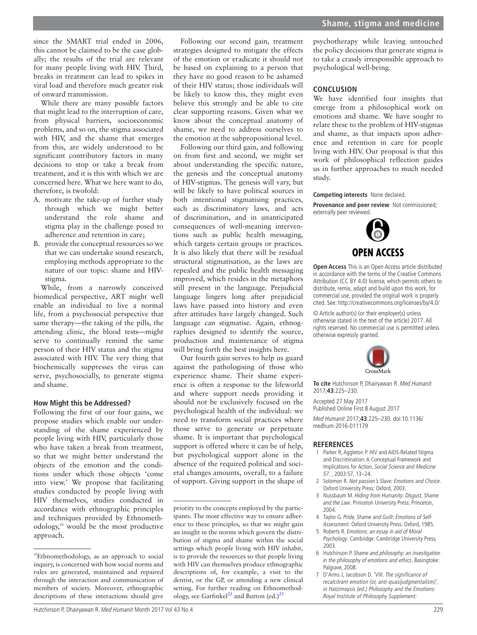since the SMART trial ended in 2006, this cannot be claimed to be the case globally; the results of the trial are relevant for many people living with HIV. Third, breaks in treatment can lead to spikes in viral load and therefore much greater risk of onward transmission.

While there are many possible factors that might lead to the interruption of care, from physical barriers, socioeconomic problems, and so on, the stigma associated with HIV, and the shame that emerges from this, are widely understood to be significant contributory factors in many decisions to stop or take a break from treatment, and it is this with which we are concerned here. What we here want to do, therefore, is twofold:

- A. motivate the take-up of further study through which we might better understand the role shame and stigma play in the challenge posed to adherence and retention in care;
- B. provide the conceptual resources so we that we can undertake sound research, employing methods appropriate to the nature of our topic: shame and HIVstigma.

While, from a narrowly conceived biomedical perspective, ART might well enable an individual to live a normal life, from a psychosocial perspective that same therapy—the taking of the pills, the attending clinic, the blood tests—might serve to continually remind the same person of their HIV status and the stigma associated with HIV. The very thing that biochemically suppresses the virus can serve, psychosocially, to generate stigma and shame.

#### **How Might this be Addressed?**

Following the first of our four gains, we propose studies which enable our understanding of the shame experienced by people living with HIV, particularly those who have taken a break from treatment, so that we might better understand the objects of the emotion and the conditions under which those objects 'come into view.' We propose that facilitating studies conducted by people living with HIV themselves, studies conducted in accordance with ethnographic principles and techniques provided by Ethnomethodology, $v^i$  would be the most productive approach.

Following our second gain, treatment strategies designed to mitigate the effects of the emotion or eradicate it should not be based on explaining to a person that they have no good reason to be ashamed of their HIV status; those individuals will be likely to know this, they might even believe this strongly and be able to cite clear supporting reasons. Given what we know about the conceptual anatomy of shame, we need to address ourselves to the emotion at the subpropositional level.

Following our third gain, and following on from first and second, we might set about understanding the specific nature, the genesis and the conceptual anatomy of HIV-stigmas. The genesis will vary, but will be likely to have political sources in both intentional stigmatising practices, such as discriminatory laws, and acts of discrimination, and in unanticipated consequences of well-meaning interventions such as public health messaging, which targets certain groups or practices. It is also likely that there will be residual structural stigmatisation, as the laws are repealed and the public health messaging improved, which resides in the metaphors still present in the language. Prejudicial language lingers long after prejudicial laws have passed into history and even after attitudes have largely changed. Such language can stigmatise. Again, ethnographies designed to identify the source, production and maintenance of stigma will bring forth the best insights here.

Our fourth gain serves to help us guard against the pathologising of those who experience shame. Their shame experience is often a response to the lifeworld and where support needs providing it should not be exclusively focused on the psychological health of the individual: we need to transform social practices where those serve to generate or perpetuate shame. It is important that psychological support is offered where it can be of help, but psychological support alone in the absence of the required political and societal changes amounts, overall, to a failure of support. Giving support in the shape of psychotherapy while leaving untouched the policy decisions that generate stigma is to take a crassly irresponsible approach to psychological well-being.

## **Conclusion**

We have identified four insights that emerge from a philosophical work on emotions and shame. We have sought to relate these to the problem of HIV-stigmas and shame, as that impacts upon adherence and retention in care for people living with HIV. Our proposal is that this work of philosophical reflection guides us in further approaches to much needed study.

#### **Competing interests** None declared.

**Provenance and peer review** Not commissioned; externally peer reviewed.



**Open Access** This is an Open Access article distributed in accordance with the terms of the Creative Commons Attribution (CC BY 4.0) license, which permits others to distribute, remix, adapt and build upon this work, for commercial use, provided the original work is properly cited. See:<http://creativecommons.org/licenses/by/4.0/>

© Article author(s) (or their employer(s) unless otherwise stated in the text of the article) 2017. All rights reserved. No commercial use is permitted unless otherwise expressly granted.



**To cite** Hutchinson P, Dhairyawan R. Med Humanit 2017;**43**:225–230.

Accepted 27 May 2017 Published Online First 8 August 2017 Med Humanit 2017;**43**:225–230. doi:10.1136/ medhum-2016-011179

#### **References**

- <span id="page-5-0"></span>1 Parker R, Aggleton P. HIV and AIDS-Related Stigma and Discrimination: A Conceptual Framework and Implications for Action. [Social Science and Medicine](http://dx.doi.org/10.1016/S0277-9536(02)00304-0)  [57](http://dx.doi.org/10.1016/S0277-9536(02)00304-0). , 2003:57, 13–24.
- <span id="page-5-1"></span>2 Solomon R. Not passion's Slave: Emotions and Choice. Oxford University Press: Oxford, 2003.
- <span id="page-5-2"></span>3 Nussbaum M. Hiding from Humanity: Disgust, Shame and the Law. Princeton University Press: Princeton, 2004.
- <span id="page-5-3"></span>4 Taylor G. Pride, Shame and Guilt: Emotions of Self-Assessment. Oxford University Press: Oxford, 1985.
- <span id="page-5-4"></span>5 Roberts R. Emotions: an essay in aid of Moral Psychology. Cambridge: Cambridge University Press, 2003.
- <span id="page-5-5"></span>6 Hutchinson P. Shame and philosophy: an investigation in the philosophy of emotions and ethics. Basingtoke: Palgrave, 2008.
- <span id="page-5-6"></span>7 D'Arms J, Jacobson D. 'VIII. The significance of recalcitrant emotion (or, anti-quasijudgmentalism)', in Hatzimoysis (ed.) Philosophy and the Emotions: Royal Institute of Philosophy Supplement:

viEthnomethodology, as an approach to social inquiry, is concerned with how social norms and rules are generated, maintained and repaired through the interaction and communication of members of society. Moreover, ethnographic descriptions of these interactions should give

priority to the concepts employed by the participants. The most effective way to ensure adherence to these principles, so that we might gain an insight in the norms which govern the distribution of stigma and shame within the social settings which people living with HIV inhabit, is to provide the resources so that people living with HIV can themselves produce ethnographic descriptions of, for example, a visit to the dentist, or the GP, or attending a new clinical setting. For further reading on Ethnomethodology, see Garfinkel<sup>22</sup> and Button (ed.)<sup>23</sup>